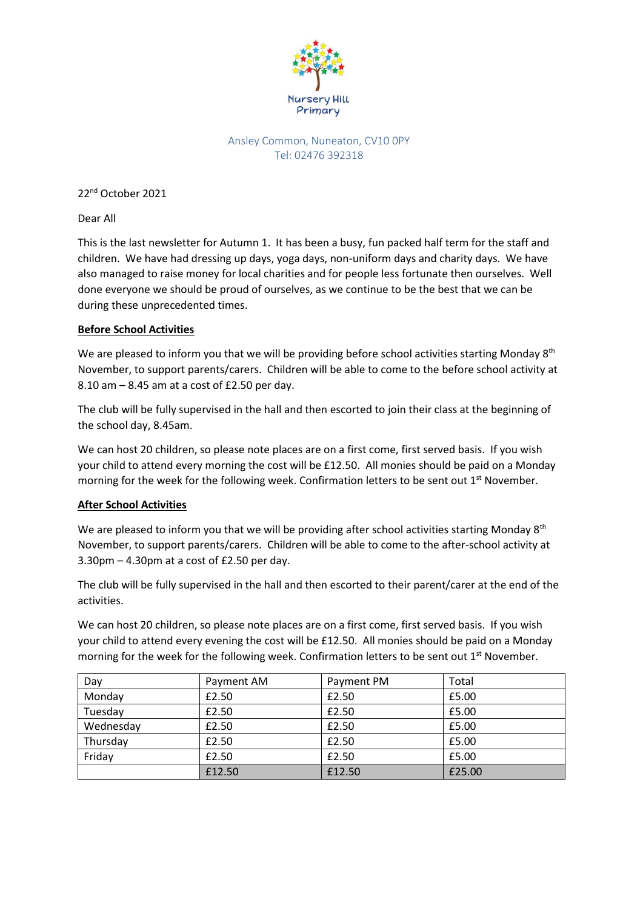

# Ansley Common, Nuneaton, CV10 0PY Tel: 02476 392318

22<sup>nd</sup> October 2021

Dear All

This is the last newsletter for Autumn 1. It has been a busy, fun packed half term for the staff and children. We have had dressing up days, yoga days, non-uniform days and charity days. We have also managed to raise money for local charities and for people less fortunate then ourselves. Well done everyone we should be proud of ourselves, as we continue to be the best that we can be during these unprecedented times.

# **Before School Activities**

We are pleased to inform you that we will be providing before school activities starting Monday  $8<sup>th</sup>$ November, to support parents/carers. Children will be able to come to the before school activity at 8.10 am – 8.45 am at a cost of £2.50 per day.

The club will be fully supervised in the hall and then escorted to join their class at the beginning of the school day, 8.45am.

We can host 20 children, so please note places are on a first come, first served basis. If you wish your child to attend every morning the cost will be £12.50. All monies should be paid on a Monday morning for the week for the following week. Confirmation letters to be sent out  $1<sup>st</sup>$  November.

# **After School Activities**

We are pleased to inform you that we will be providing after school activities starting Monday 8<sup>th</sup> November, to support parents/carers. Children will be able to come to the after-school activity at 3.30pm – 4.30pm at a cost of £2.50 per day.

The club will be fully supervised in the hall and then escorted to their parent/carer at the end of the activities.

We can host 20 children, so please note places are on a first come, first served basis. If you wish your child to attend every evening the cost will be £12.50. All monies should be paid on a Monday morning for the week for the following week. Confirmation letters to be sent out 1<sup>st</sup> November.

| Day       | Payment AM | Payment PM | Total  |
|-----------|------------|------------|--------|
| Monday    | £2.50      | £2.50      | £5.00  |
| Tuesday   | £2.50      | £2.50      | £5.00  |
| Wednesday | £2.50      | £2.50      | £5.00  |
| Thursday  | £2.50      | £2.50      | £5.00  |
| Friday    | £2.50      | £2.50      | £5.00  |
|           | £12.50     | £12.50     | £25.00 |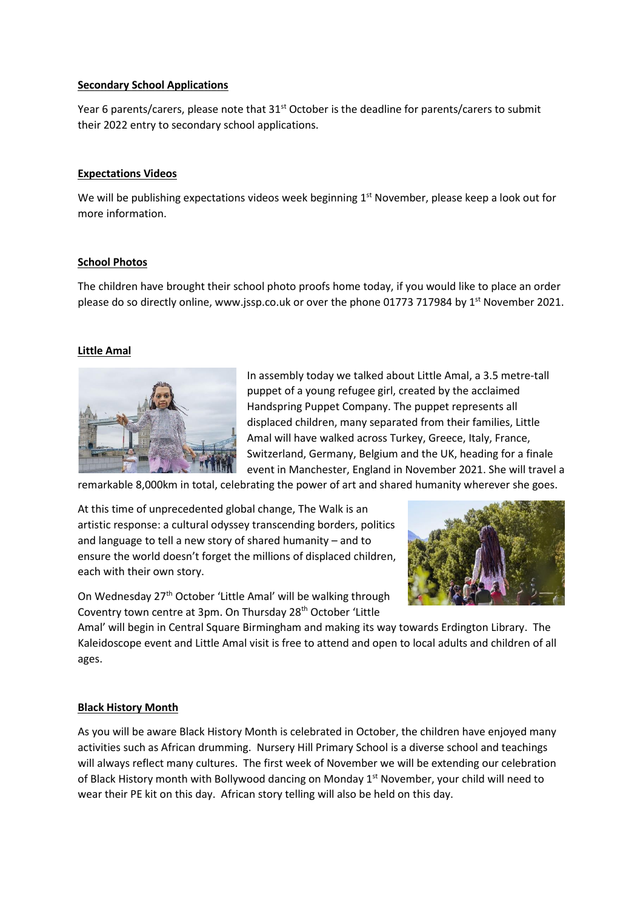### **Secondary School Applications**

Year 6 parents/carers, please note that 31<sup>st</sup> October is the deadline for parents/carers to submit their 2022 entry to secondary school applications.

## **Expectations Videos**

We will be publishing expectations videos week beginning 1<sup>st</sup> November, please keep a look out for more information.

## **School Photos**

The children have brought their school photo proofs home today, if you would like to place an order please do so directly online, www.jssp.co.uk or over the phone 01773 717984 by 1<sup>st</sup> November 2021.

## **Little Amal**



In assembly today we talked about Little Amal, a 3.5 metre-tall puppet of a young refugee girl, created by the acclaimed Handspring Puppet Company. The puppet represents all displaced children, many separated from their families, Little Amal will have walked across Turkey, Greece, Italy, France, Switzerland, Germany, Belgium and the UK, heading for a finale event in Manchester, England in November 2021. She will travel a

remarkable 8,000km in total, celebrating the power of art and shared humanity wherever she goes.

At this time of unprecedented global change, The Walk is an artistic response: a cultural odyssey transcending borders, politics and language to tell a new story of shared humanity – and to ensure the world doesn't forget the millions of displaced children, each with their own story.



On Wednesday 27<sup>th</sup> October 'Little Amal' will be walking through Coventry town centre at 3pm. On Thursday 28th October 'Little

Amal' will begin in Central Square Birmingham and making its way towards Erdington Library. The Kaleidoscope event and Little Amal visit is free to attend and open to local adults and children of all ages.

#### **Black History Month**

As you will be aware Black History Month is celebrated in October, the children have enjoyed many activities such as African drumming. Nursery Hill Primary School is a diverse school and teachings will always reflect many cultures. The first week of November we will be extending our celebration of Black History month with Bollywood dancing on Monday  $1<sup>st</sup>$  November, your child will need to wear their PE kit on this day. African story telling will also be held on this day.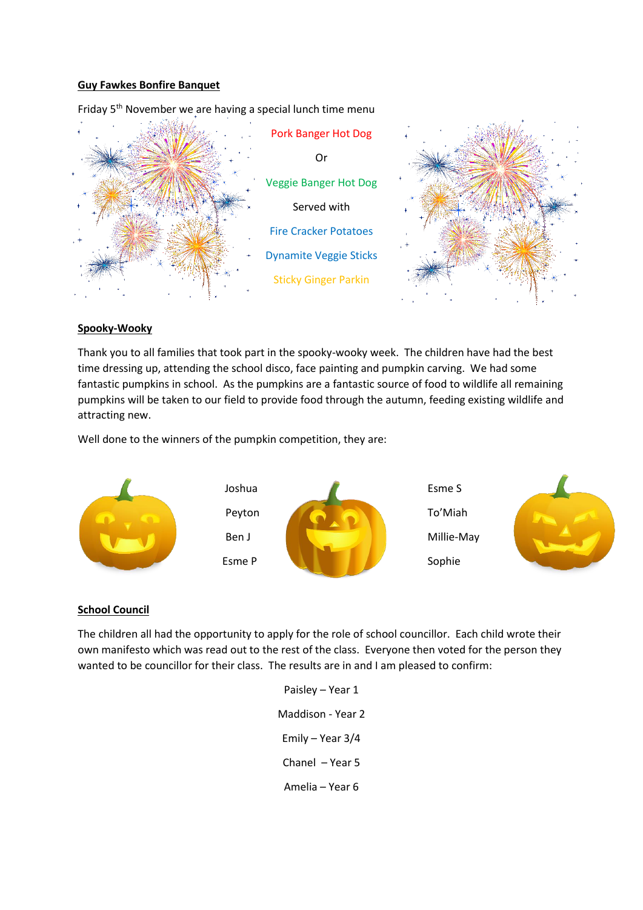### **Guy Fawkes Bonfire Banquet**



Friday 5<sup>th</sup> November we are having a special lunch time menu

#### **Spooky-Wooky**

Thank you to all families that took part in the spooky-wooky week. The children have had the best time dressing up, attending the school disco, face painting and pumpkin carving. We had some fantastic pumpkins in school. As the pumpkins are a fantastic source of food to wildlife all remaining pumpkins will be taken to our field to provide food through the autumn, feeding existing wildlife and attracting new.

Well done to the winners of the pumpkin competition, they are:



#### **School Council**

The children all had the opportunity to apply for the role of school councillor. Each child wrote their own manifesto which was read out to the rest of the class. Everyone then voted for the person they wanted to be councillor for their class. The results are in and I am pleased to confirm:

> Paisley – Year 1 Maddison - Year 2 Emily – Year 3/4 Chanel – Year 5 Amelia – Year 6